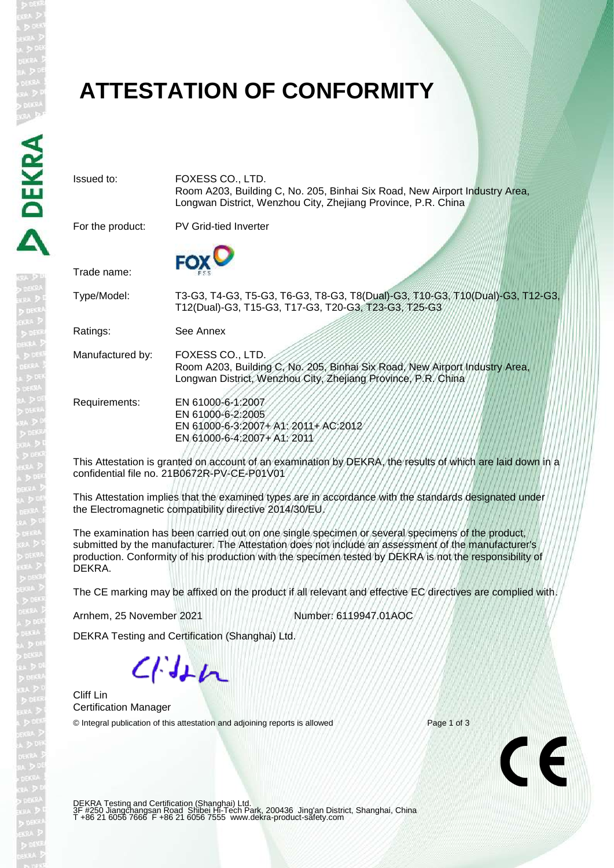### **ATTESTATION OF CONFORMITY**

Issued to: FOXESS CO., LTD.

Longwan District, Wenzhou City, Zhejiang Province, P.R. China For the product: PV Grid-tied Inverter Trade name: Type/Model: T3-G3, T4-G3, T5-G3, T6-G3, T8-G3, T8(Dual)-G3, T10-G3, T10(Dual)-G3, T12-G3, T12(Dual)-G3, T15-G3, T17-G3, T20-G3, T23-G3, T25-G3 Ratings: See Annex Manufactured by: FOXESS CO., LTD. Room A203, Building C, No. 205, Binhai Six Road, New Airport Industry Area, Longwan District, Wenzhou City, Zhejiang Province, P.R. China Requirements: EN 61000-6-1:2007 EN 61000-6-2:2005 EN 61000-6-3:2007+ A1: 2011+ AC:2012 EN 61000-6-4:2007+ A1: 2011 This Attestation is granted on account of an examination by DEKRA, the results of which are laid down in a confidential file no. 21B0672R-PV-CE-P01V01

Room A203, Building C, No. 205, Binhai Six Road, New Airport Industry Area,

This Attestation implies that the examined types are in accordance with the standards designated under the Electromagnetic compatibility directive 2014/30/EU.

The examination has been carried out on one single specimen or several specimens of the product, submitted by the manufacturer. The Attestation does not include an assessment of the manufacturer's production. Conformity of his production with the specimen tested by DEKRA is not the responsibility of DEKRA.

The CE marking may be affixed on the product if all relevant and effective EC directives are complied with.

Arnhem, 25 November 2021 Number: 6119947.01AOC

DEKRA Testing and Certification (Shanghai) Ltd.

 $C/Hn$ 

Cliff Lin Certification Manager

© Integral publication of this attestation and adjoining reports is allowed Page 1 of 3

 $\epsilon$ 

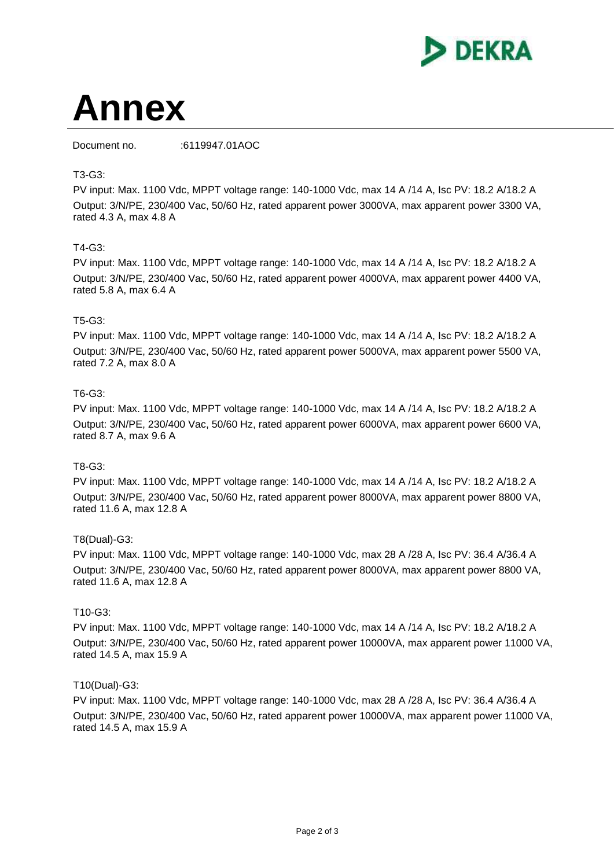

# **Annex**

Document no. :6119947.01AOC

#### T3-G3:

PV input: Max. 1100 Vdc, MPPT voltage range: 140-1000 Vdc, max 14 A /14 A, Isc PV: 18.2 A/18.2 A Output: 3/N/PE, 230/400 Vac, 50/60 Hz, rated apparent power 3000VA, max apparent power 3300 VA, rated 4.3 A, max 4.8 A

#### T4-G3:

PV input: Max. 1100 Vdc, MPPT voltage range: 140-1000 Vdc, max 14 A /14 A, Isc PV: 18.2 A/18.2 A Output: 3/N/PE, 230/400 Vac, 50/60 Hz, rated apparent power 4000VA, max apparent power 4400 VA, rated 5.8 A, max 6.4 A

#### T5-G3:

PV input: Max. 1100 Vdc, MPPT voltage range: 140-1000 Vdc, max 14 A /14 A, Isc PV: 18.2 A/18.2 A Output: 3/N/PE, 230/400 Vac, 50/60 Hz, rated apparent power 5000VA, max apparent power 5500 VA, rated 7.2 A, max 8.0 A

#### T6-G3:

PV input: Max. 1100 Vdc, MPPT voltage range: 140-1000 Vdc, max 14 A /14 A, Isc PV: 18.2 A/18.2 A Output: 3/N/PE, 230/400 Vac, 50/60 Hz, rated apparent power 6000VA, max apparent power 6600 VA, rated 8.7 A, max 9.6 A

#### T8-G3:

PV input: Max. 1100 Vdc, MPPT voltage range: 140-1000 Vdc, max 14 A /14 A, Isc PV: 18.2 A/18.2 A Output: 3/N/PE, 230/400 Vac, 50/60 Hz, rated apparent power 8000VA, max apparent power 8800 VA, rated 11.6 A, max 12.8 A

#### T8(Dual)-G3:

PV input: Max. 1100 Vdc, MPPT voltage range: 140-1000 Vdc, max 28 A /28 A, Isc PV: 36.4 A/36.4 A Output: 3/N/PE, 230/400 Vac, 50/60 Hz, rated apparent power 8000VA, max apparent power 8800 VA, rated 11.6 A, max 12.8 A

#### T10-G3:

PV input: Max. 1100 Vdc, MPPT voltage range: 140-1000 Vdc, max 14 A /14 A, Isc PV: 18.2 A/18.2 A Output: 3/N/PE, 230/400 Vac, 50/60 Hz, rated apparent power 10000VA, max apparent power 11000 VA, rated 14.5 A, max 15.9 A

#### T10(Dual)-G3:

PV input: Max. 1100 Vdc, MPPT voltage range: 140-1000 Vdc, max 28 A /28 A, Isc PV: 36.4 A/36.4 A Output: 3/N/PE, 230/400 Vac, 50/60 Hz, rated apparent power 10000VA, max apparent power 11000 VA, rated 14.5 A, max 15.9 A